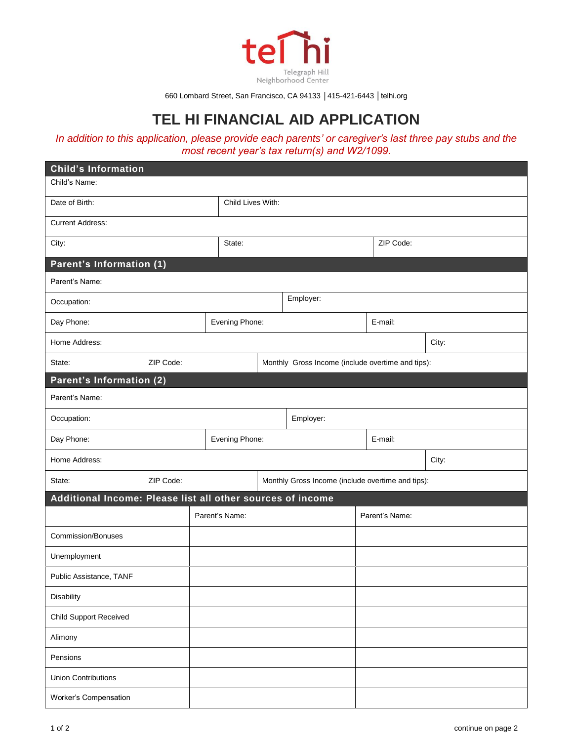

660 Lombard Street, San Francisco, CA 94133 │415-421-6443 │telhi.org

## **TEL HI FINANCIAL AID APPLICATION**

## *In addition to this application, please provide each parents' or caregiver's last three pay stubs and the most recent year's tax return(s) and W2/1099.*

| <b>Child's Information</b>                                 |           |  |                                                   |                   |                                                   |                |         |       |  |
|------------------------------------------------------------|-----------|--|---------------------------------------------------|-------------------|---------------------------------------------------|----------------|---------|-------|--|
| Child's Name:                                              |           |  |                                                   |                   |                                                   |                |         |       |  |
| Date of Birth:                                             |           |  |                                                   | Child Lives With: |                                                   |                |         |       |  |
| <b>Current Address:</b>                                    |           |  |                                                   |                   |                                                   |                |         |       |  |
| City:                                                      |           |  | State:                                            |                   |                                                   | ZIP Code:      |         |       |  |
| Parent's Information (1)                                   |           |  |                                                   |                   |                                                   |                |         |       |  |
| Parent's Name:                                             |           |  |                                                   |                   |                                                   |                |         |       |  |
| Occupation:                                                |           |  | Employer:                                         |                   |                                                   |                |         |       |  |
| Day Phone:                                                 |           |  |                                                   | Evening Phone:    |                                                   |                | E-mail: |       |  |
| Home Address:<br>City:                                     |           |  |                                                   |                   |                                                   |                |         |       |  |
| State:                                                     | ZIP Code: |  |                                                   |                   | Monthly Gross Income (include overtime and tips): |                |         |       |  |
| Parent's Information (2)                                   |           |  |                                                   |                   |                                                   |                |         |       |  |
| Parent's Name:                                             |           |  |                                                   |                   |                                                   |                |         |       |  |
| Occupation:                                                |           |  |                                                   | Employer:         |                                                   |                |         |       |  |
| Day Phone:                                                 |           |  | Evening Phone:                                    |                   |                                                   | E-mail:        |         |       |  |
| Home Address:                                              |           |  |                                                   |                   |                                                   |                |         | City: |  |
| State:                                                     | ZIP Code: |  | Monthly Gross Income (include overtime and tips): |                   |                                                   |                |         |       |  |
| Additional Income: Please list all other sources of income |           |  |                                                   |                   |                                                   |                |         |       |  |
|                                                            |           |  | Parent's Name:                                    |                   |                                                   | Parent's Name: |         |       |  |
| Commission/Bonuses                                         |           |  |                                                   |                   |                                                   |                |         |       |  |
| Unemployment                                               |           |  |                                                   |                   |                                                   |                |         |       |  |
| Public Assistance, TANF                                    |           |  |                                                   |                   |                                                   |                |         |       |  |
| <b>Disability</b>                                          |           |  |                                                   |                   |                                                   |                |         |       |  |
| Child Support Received                                     |           |  |                                                   |                   |                                                   |                |         |       |  |
| Alimony                                                    |           |  |                                                   |                   |                                                   |                |         |       |  |
| Pensions                                                   |           |  |                                                   |                   |                                                   |                |         |       |  |
| <b>Union Contributions</b>                                 |           |  |                                                   |                   |                                                   |                |         |       |  |
| Worker's Compensation                                      |           |  |                                                   |                   |                                                   |                |         |       |  |